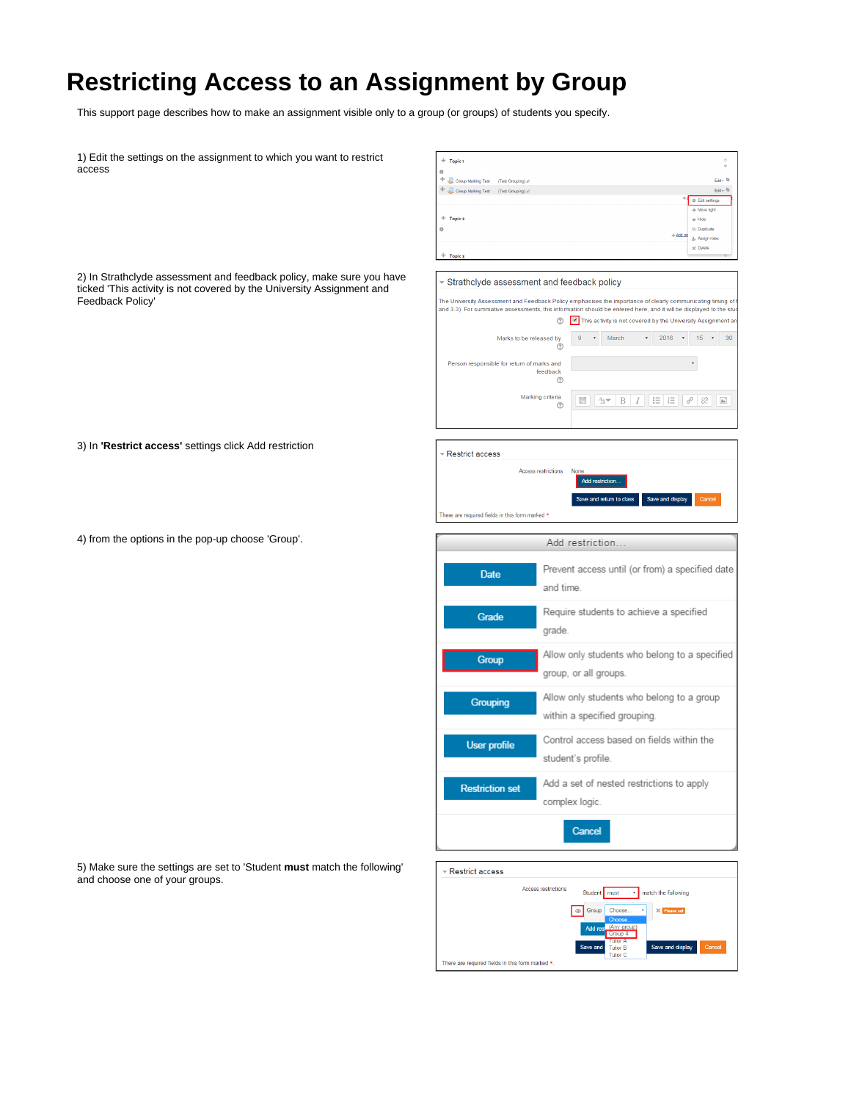## **Restricting Access to an Assignment by Group**

This support page describes how to make an assignment visible only to a group (or groups) of students you specify.

| 1) Edit the settings on the assignment to which you want to restrict<br>access                                                                                    | $+$ Topic 1<br>$\circ$<br>á<br>$+$ Group Marking Test (Test Grouping) $\epsilon$<br>Edit - Rt<br>$\begin{picture}(180,10) \put(0,0){\line(1,0){10}} \put(15,0){\line(1,0){10}} \put(15,0){\line(1,0){10}} \put(15,0){\line(1,0){10}} \put(15,0){\line(1,0){10}} \put(15,0){\line(1,0){10}} \put(15,0){\line(1,0){10}} \put(15,0){\line(1,0){10}} \put(15,0){\line(1,0){10}} \put(15,0){\line(1,0){10}} \put(15,0){\line(1,0){10}} \put(15,0){\line($<br>Edit - <sup>88</sup><br><b>⊕</b> Edit settings<br>$\Rightarrow$ Move right<br>$\oplus$ Topic 2<br>$\circledcirc$ Hide<br>淼<br><b>Co</b> Duplicate<br>$+ Add an$<br>2. Assign roles<br>$\times$ Delete<br>$+$ Topic 3 |
|-------------------------------------------------------------------------------------------------------------------------------------------------------------------|------------------------------------------------------------------------------------------------------------------------------------------------------------------------------------------------------------------------------------------------------------------------------------------------------------------------------------------------------------------------------------------------------------------------------------------------------------------------------------------------------------------------------------------------------------------------------------------------------------------------------------------------------------------------------|
| 2) In Strathclyde assessment and feedback policy, make sure you have<br>ticked 'This activity is not covered by the University Assignment and<br>Feedback Policy' | ▼ Strathclyde assessment and feedback policy<br>The University Assessment and Feedback Policy emphasises the importance of clearly communicating timing of<br>and 3.3). For summative assessments, this information should be entered here, and it will be displayed to the stud<br>This activity is not covered by the University Assignment ar<br>℗<br>March<br>$2016$ $*$<br>$15 \times 30$<br>Marks to be released by<br>$\overline{9}$<br>$\pi$<br>℗<br>Person responsible for return of marks and<br>feedback<br>℗<br>Marking criteria<br>88<br>$\mathbb{A}^*$<br>$rac{1}{2}$<br>$A_{\mathbb{A}}$ $\bullet$   B   I<br>三 三<br>℗                                        |
| 3) In 'Restrict access' settings click Add restriction                                                                                                            | Restrict access<br><b>Access restrictions</b><br>None<br>Add restriction.<br>Save and return to class<br>Save and display<br>Cancel<br>There are required fields in this form marked *                                                                                                                                                                                                                                                                                                                                                                                                                                                                                       |
| 4) from the options in the pop-up choose 'Group'.                                                                                                                 | Add restriction                                                                                                                                                                                                                                                                                                                                                                                                                                                                                                                                                                                                                                                              |
|                                                                                                                                                                   | Prevent access until (or from) a specified date<br>Date<br>and time.                                                                                                                                                                                                                                                                                                                                                                                                                                                                                                                                                                                                         |
|                                                                                                                                                                   | Require students to achieve a specified<br>Grade<br>grade.                                                                                                                                                                                                                                                                                                                                                                                                                                                                                                                                                                                                                   |
|                                                                                                                                                                   | Allow only students who belong to a specified<br>Group<br>group, or all groups.                                                                                                                                                                                                                                                                                                                                                                                                                                                                                                                                                                                              |
|                                                                                                                                                                   | Allow only students who belong to a group<br>Grouping<br>within a specified grouping.                                                                                                                                                                                                                                                                                                                                                                                                                                                                                                                                                                                        |
|                                                                                                                                                                   | Control access based on fields within the<br>User profile<br>student's profile.                                                                                                                                                                                                                                                                                                                                                                                                                                                                                                                                                                                              |
|                                                                                                                                                                   | Add a set of nested restrictions to apply<br><b>Restriction set</b><br>complex logic.                                                                                                                                                                                                                                                                                                                                                                                                                                                                                                                                                                                        |
|                                                                                                                                                                   | Cancel                                                                                                                                                                                                                                                                                                                                                                                                                                                                                                                                                                                                                                                                       |
| 5) Make sure the settings are set to 'Student must match the following'<br>and choose one of your groups.                                                         | Restrict access<br>Access restrictions<br>Student   must<br>match the following<br>© Group Choose.<br>$\times$ Please set<br>$_{\rm T}$                                                                                                                                                                                                                                                                                                                                                                                                                                                                                                                                      |

There are required fields in this form marked  $*$ .

Save and display

 $\odot$